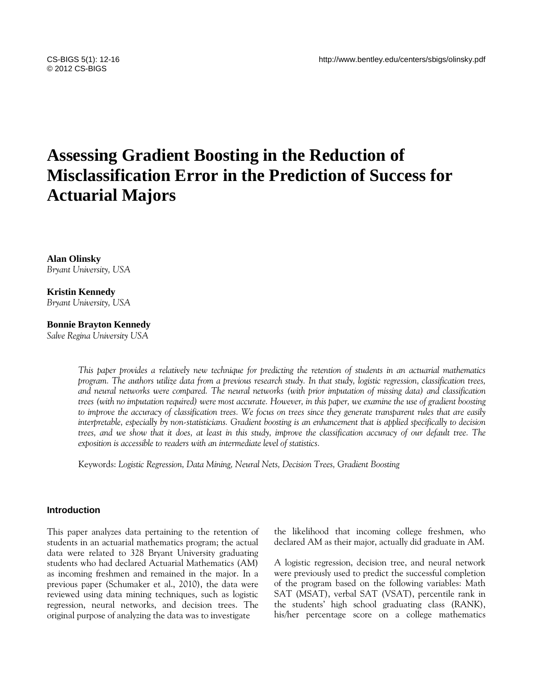# **Assessing Gradient Boosting in the Reduction of Misclassification Error in the Prediction of Success for Actuarial Majors**

**Alan Olinsky** *Bryant University, USA*

**Kristin Kennedy** *Bryant University, USA*

# **Bonnie Brayton Kennedy**

*Salve Regina University USA*

*This paper provides a relatively new technique for predicting the retention of students in an actuarial mathematics program. The authors utilize data from a previous research study. In that study, logistic regression, classification trees, and neural networks were compared. The neural networks (with prior imputation of missing data) and classification trees (with no imputation required) were most accurate. However, in this paper, we examine the use of gradient boosting to improve the accuracy of classification trees. We focus on trees since they generate transparent rules that are easily interpretable, especially by non-statisticians. Gradient boosting is an enhancement that is applied specifically to decision trees, and we show that it does, at least in this study, improve the classification accuracy of our default tree. The exposition is accessible to readers with an intermediate level of statistics.*

Keywords: *Logistic Regression, Data Mining, Neural Nets, Decision Trees, Gradient Boosting*

## **Introduction**

This paper analyzes data pertaining to the retention of students in an actuarial mathematics program; the actual data were related to 328 Bryant University graduating students who had declared Actuarial Mathematics (AM) as incoming freshmen and remained in the major. In a previous paper (Schumaker et al., 2010), the data were reviewed using data mining techniques, such as logistic regression, neural networks, and decision trees. The original purpose of analyzing the data was to investigate

the likelihood that incoming college freshmen, who declared AM as their major, actually did graduate in AM.

A logistic regression, decision tree, and neural network were previously used to predict the successful completion of the program based on the following variables: Math SAT (MSAT), verbal SAT (VSAT), percentile rank in the students' high school graduating class (RANK), his/her percentage score on a college mathematics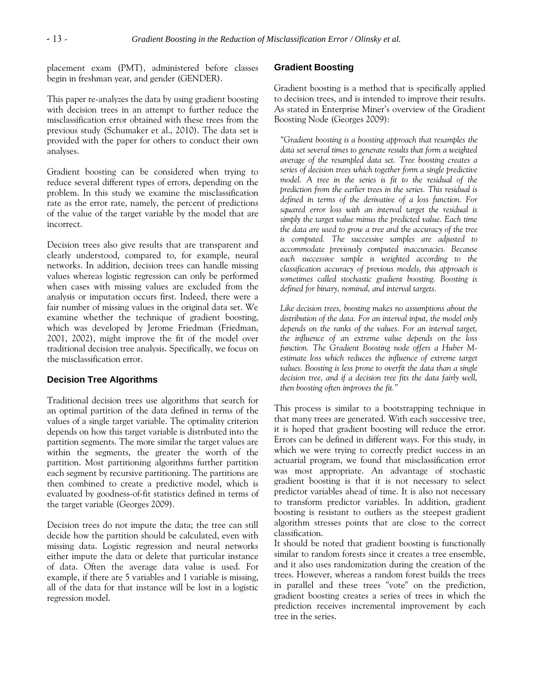placement exam (PMT), administered before classes begin in freshman year, and gender (GENDER).

This paper re-analyzes the data by using gradient boosting with decision trees in an attempt to further reduce the misclassification error obtained with these trees from the previous study (Schumaker et al., 2010). The data set is provided with the paper for others to conduct their own analyses.

Gradient boosting can be considered when trying to reduce several different types of errors, depending on the problem. In this study we examine the misclassification rate as the error rate, namely, the percent of predictions of the value of the target variable by the model that are incorrect.

Decision trees also give results that are transparent and clearly understood, compared to, for example, neural networks. In addition, decision trees can handle missing values whereas logistic regression can only be performed when cases with missing values are excluded from the analysis or imputation occurs first. Indeed, there were a fair number of missing values in the original data set. We examine whether the technique of gradient boosting, which was developed by Jerome Friedman (Friedman, 2001, 2002), might improve the fit of the model over traditional decision tree analysis. Specifically, we focus on the misclassification error.

## **Decision Tree Algorithms**

Traditional decision trees use algorithms that search for an optimal partition of the data defined in terms of the values of a single target variable. The optimality criterion depends on how this target variable is distributed into the partition segments. The more similar the target values are within the segments, the greater the worth of the partition. Most partitioning algorithms further partition each segment by recursive partitioning. The partitions are then combined to create a predictive model, which is evaluated by goodness-of-fit statistics defined in terms of the target variable (Georges 2009).

Decision trees do not impute the data; the tree can still decide how the partition should be calculated, even with missing data. Logistic regression and neural networks either impute the data or delete that particular instance of data. Often the average data value is used. For example, if there are 5 variables and 1 variable is missing, all of the data for that instance will be lost in a logistic regression model.

# **Gradient Boosting**

Gradient boosting is a method that is specifically applied to decision trees, and is intended to improve their results. As stated in Enterprise Miner's overview of the Gradient Boosting Node (Georges 2009):

*"Gradient boosting is a boosting approach that resamples the data set several times to generate results that form a weighted average of the resampled data set. Tree boosting creates a series of decision trees which together form a single predictive model. A tree in the series is fit to the residual of the prediction from the earlier trees in the series. This residual is defined in terms of the derivative of a loss function. For squared error loss with an interval target the residual is simply the target value minus the predicted value. Each time the data are used to grow a tree and the accuracy of the tree is computed. The successive samples are adjusted to accommodate previously computed inaccuracies. Because each successive sample is weighted according to the classification accuracy of previous models, this approach is sometimes called stochastic gradient boosting. Boosting is defined for binary, nominal, and interval targets.* 

*Like decision trees, boosting makes no assumptions about the distribution of the data. For an interval input, the model only depends on the ranks of the values. For an interval target, the influence of an extreme value depends on the loss function. The Gradient Boosting node offers a Huber Mestimate loss which reduces the influence of extreme target values. Boosting is less prone to overfit the data than a single decision tree, and if a decision tree fits the data fairly well, then boosting often improves the fit."*

This process is similar to a bootstrapping technique in that many trees are generated. With each successive tree, it is hoped that gradient boosting will reduce the error. Errors can be defined in different ways. For this study, in which we were trying to correctly predict success in an actuarial program, we found that misclassification error was most appropriate. An advantage of stochastic gradient boosting is that it is not necessary to select predictor variables ahead of time. It is also not necessary to transform predictor variables. In addition, gradient boosting is resistant to outliers as the steepest gradient algorithm stresses points that are close to the correct classification.

It should be noted that gradient boosting is functionally similar to random forests since it creates a tree ensemble, and it also uses randomization during the creation of the trees. However, whereas a random forest builds the trees in parallel and these trees "vote" on the prediction, gradient boosting creates a series of trees in which the prediction receives incremental improvement by each tree in the series.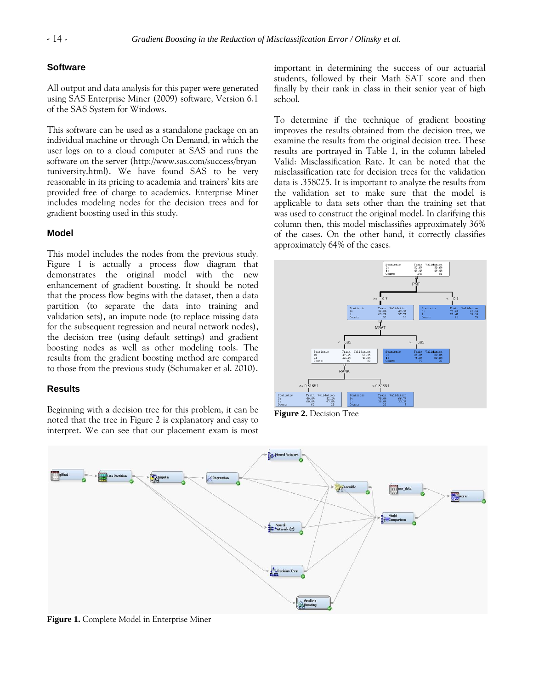# **Software**

All output and data analysis for this paper were generated using SAS Enterprise Miner (2009) software, Version 6.1 of the SAS System for Windows.

This software can be used as a standalone package on an individual machine or through On Demand, in which the user logs on to a cloud computer at SAS and runs the software on the server (http://www.sas.com/success/bryan tuniversity.html). We have found SAS to be very reasonable in its pricing to academia and trainers' kits are provided free of charge to academics. Enterprise Miner includes modeling nodes for the decision trees and for gradient boosting used in this study.

# **Model**

This model includes the nodes from the previous study. Figure 1 is actually a process flow diagram that demonstrates the original model with the new enhancement of gradient boosting. It should be noted that the process flow begins with the dataset, then a data partition (to separate the data into training and validation sets), an impute node (to replace missing data for the subsequent regression and neural network nodes), the decision tree (using default settings) and gradient boosting nodes as well as other modeling tools. The results from the gradient boosting method are compared to those from the previous study (Schumaker et al. 2010).

### **Results**

Beginning with a decision tree for this problem, it can be noted that the tree in Figure 2 is explanatory and easy to interpret. We can see that our placement exam is most important in determining the success of our actuarial students, followed by their Math SAT score and then finally by their rank in class in their senior year of high school.

To determine if the technique of gradient boosting improves the results obtained from the decision tree, we examine the results from the original decision tree. These results are portrayed in Table 1, in the column labeled Valid: Misclassification Rate. It can be noted that the misclassification rate for decision trees for the validation data is .358025. It is important to analyze the results from the validation set to make sure that the model is applicable to data sets other than the training set that was used to construct the original model. In clarifying this column then, this model misclassifies approximately 36% of the cases. On the other hand, it correctly classifies approximately 64% of the cases.



**Figure 2.** Decision Tree



**Figure 1.** Complete Model in Enterprise Miner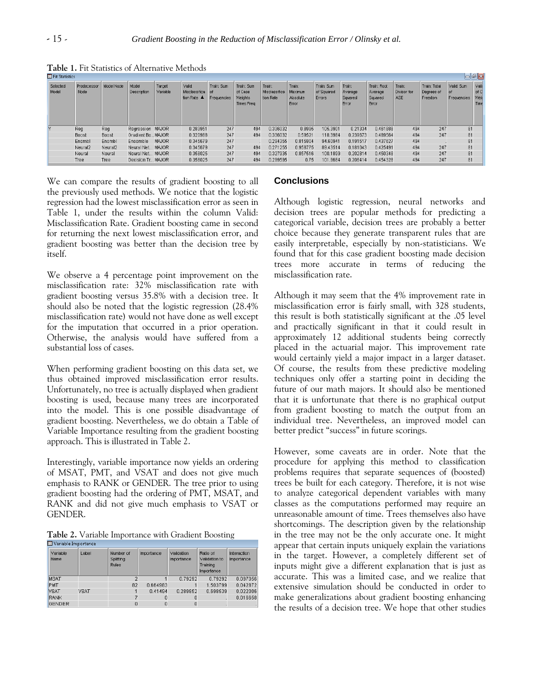| $\Box$ ell $\mathbf{z}$<br><b>B</b> Fit Statistics |                     |                     |                      |                    |                                        |                                   |                                                |                                      |                                        |                                    |                                       |                                            |                              |                                       |                                  |                                      |
|----------------------------------------------------|---------------------|---------------------|----------------------|--------------------|----------------------------------------|-----------------------------------|------------------------------------------------|--------------------------------------|----------------------------------------|------------------------------------|---------------------------------------|--------------------------------------------|------------------------------|---------------------------------------|----------------------------------|--------------------------------------|
| Selected<br>Model                                  | Predecessor<br>Node | Model Node          | Model<br>Description | Target<br>Variable | Valid:<br>Misclassifica<br>tion Rate ▲ | Train: Sum<br>l of<br>Frequencies | Train: Sum<br>of Case<br>Weights<br>Times Freq | Train:<br>Misclassifica<br>tion Rate | Train:<br>Maximum<br>Absolute<br>Error | Train: Sum<br>of Squared<br>Errors | Train:<br>Average<br>Squared<br>Error | Train: Root<br>Average<br>Squared<br>Error | Train:<br>Divisor for<br>ASE | Train: Total<br>Degrees of<br>Freedom | Valid: Sum<br>of.<br>Frequencies | Valid<br>of C<br><b>Weid</b><br>Time |
| Y                                                  | Reg                 | Reg                 | Regression MAJOR     |                    | 0.283951                               | 247                               | 494                                            | 0.336032                             | 0.8995                                 | 105.3901                           | 0.21334                               | 0.461888                                   | 494                          | 247                                   | 81                               |                                      |
|                                                    | Boost               | Boost               | Gradient Bo MAJOR    |                    | 0.320988                               | 247                               | 494                                            | 0.336032                             | 0.59521                                | 118.3984                           | 0.239673                              | 0.489564                                   | 494                          | 247                                   | 81                               |                                      |
|                                                    | Ensmbl              | Ensmbl              | <b>Ensemble</b>      | <b>MAJOR</b>       | 0.345679                               | 247                               |                                                | 0.294355                             | 0.815904                               | 94.60941                           | 0.191517                              | 0.437627                                   | 494                          |                                       | 81                               |                                      |
|                                                    | Neural <sub>2</sub> | Neural <sub>2</sub> | Neural Net MAJOR     |                    | 0.345679                               | 247                               | 494                                            | 0.271255                             | 0.958775                               | 89.43514                           | 0.181043                              | 0.425491                                   | 494                          | 247                                   | 81                               |                                      |
|                                                    | Neural              | Neural              | Neural Net MAJOR     |                    | 0.358025                               | 247                               | 494                                            | 0.327935                             | 0.857516                               | 100.1899                           | 0.202814                              | 0.450348                                   | 494                          | 247                                   | 81                               |                                      |
|                                                    | Tree                | Tree                | Decision Tr MAJOR    |                    | 0.358025                               | 247                               | 494                                            | 0.299595                             | 0.75                                   | 101.9684                           | 0.206414                              | 0.454328                                   | 494                          | 247                                   | 81                               |                                      |

**Table 1.** Fit Statistics of Alternative Methods

We can compare the results of gradient boosting to all the previously used methods. We notice that the logistic regression had the lowest misclassification error as seen in Table 1, under the results within the column Valid: Misclassification Rate. Gradient boosting came in second for returning the next lowest misclassification error, and gradient boosting was better than the decision tree by itself.

We observe a 4 percentage point improvement on the misclassification rate: 32% misclassification rate with gradient boosting versus 35.8% with a decision tree. It should also be noted that the logistic regression (28.4% misclassification rate) would not have done as well except for the imputation that occurred in a prior operation. Otherwise, the analysis would have suffered from a substantial loss of cases.

When performing gradient boosting on this data set, we thus obtained improved misclassification error results. Unfortunately, no tree is actually displayed when gradient boosting is used, because many trees are incorporated into the model. This is one possible disadvantage of gradient boosting. Nevertheless, we do obtain a Table of Variable Importance resulting from the gradient boosting approach. This is illustrated in Table 2.

Interestingly, variable importance now yields an ordering of MSAT, PMT, and VSAT and does not give much emphasis to RANK or GENDER. The tree prior to using gradient boosting had the ordering of PMT, MSAT, and RANK and did not give much emphasis to VSAT or GENDER.

**Table 2.** Variable Importance with Gradient Boosting

| 图 Mariable Importance |             |                                        |            |                          |                                                     |                           |  |  |  |  |
|-----------------------|-------------|----------------------------------------|------------|--------------------------|-----------------------------------------------------|---------------------------|--|--|--|--|
| Variable<br>Name      | Label       | Number of<br>Splitting<br><b>Rules</b> | Importance | Validation<br>Importance | Ratio of<br>Validation to<br>Training<br>Importance | Interaction<br>Importance |  |  |  |  |
| MSAT                  |             |                                        |            | 0.79292                  | 0.79292                                             | 0.097056                  |  |  |  |  |
| <b>PMT</b>            |             | 82                                     | 0.664983   |                          | 1.503799                                            | 0.042872                  |  |  |  |  |
| <b>VSAT</b>           | <b>VSAT</b> |                                        | 0.41494    | 0.289852                 | 0.698539                                            | 0.022006                  |  |  |  |  |
| <b>RANK</b>           |             |                                        | O          | 0                        |                                                     | 0.016658                  |  |  |  |  |
| <b>GENDER</b>         |             | 0                                      | 0          | 0                        |                                                     |                           |  |  |  |  |

#### **Conclusions**

Although logistic regression, neural networks and decision trees are popular methods for predicting a categorical variable, decision trees are probably a better choice because they generate transparent rules that are easily interpretable, especially by non-statisticians. We found that for this case gradient boosting made decision trees more accurate in terms of reducing the misclassification rate.

Although it may seem that the 4% improvement rate in misclassification error is fairly small, with 328 students, this result is both statistically significant at the .05 level and practically significant in that it could result in approximately 12 additional students being correctly placed in the actuarial major. This improvement rate would certainly yield a major impact in a larger dataset. Of course, the results from these predictive modeling techniques only offer a starting point in deciding the future of our math majors. It should also be mentioned that it is unfortunate that there is no graphical output from gradient boosting to match the output from an individual tree. Nevertheless, an improved model can better predict "success" in future scorings.

However, some caveats are in order. Note that the procedure for applying this method to classification problems requires that separate sequences of (boosted) trees be built for each category. Therefore, it is not wise to analyze categorical dependent variables with many classes as the computations performed may require an unreasonable amount of time. Trees themselves also have shortcomings. The description given by the relationship in the tree may not be the only accurate one. It might appear that certain inputs uniquely explain the variations in the target. However, a completely different set of inputs might give a different explanation that is just as accurate. This was a limited case, and we realize that extensive simulation should be conducted in order to make generalizations about gradient boosting enhancing the results of a decision tree. We hope that other studies